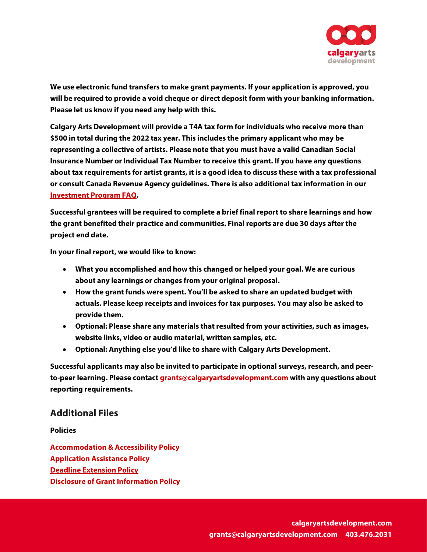

We use electronic fund transfe**to** make grant payments. If your application is approved, you will be **required to provide a void cheque or direct deposit form with your banking information. Please let us know if you need any help with this.**

**Calgary Arts Development will provide a T4A tax form for individuals who receive more than**  \$500 intotal during the 2022 tax year. This includes the rimary applicant who may be representinga collective of artists. Please nothatyou must have a valid CanadiafiocialInsurance Number or IndividualTax Number to receive this grant. **J**bu have any question about tax requirement for **artist grants, itisa good idea to discussthese witha taxprofessionalor consult Canada Revenue**  Agency guidelinesThere isalso additional tax information in ourvestment Program FAQ.

| $\blacksquare$ |                      |               | $\Box \qquad \Box$ |
|----------------|----------------------|---------------|--------------------|
|                | $\Box$ $\Box$ $\Box$ | $\mathbf \Pi$ |                    |
| $\Box$         |                      |               |                    |

**In your final report, we would like to know:**

- $\bullet$  8IBUZPVBDDPND $\bullet$
- $\bullet$  )PXUIFHSBOU  $\bullet$
- 
- $\bullet$  0  $\bullet$  0  $\bullet$  0  $\bullet$  0  $\bullet$  0  $\bullet$  0  $\bullet$  0  $\bullet$  0  $\bullet$  0  $\bullet$  0  $\bullet$  0  $\bullet$  0  $\bullet$  0  $\bullet$  0  $\bullet$  0  $\bullet$  0  $\bullet$  0  $\bullet$  0  $\bullet$  0  $\bullet$  0  $\bullet$  0  $\bullet$  0  $\bullet$  0  $\bullet$  0  $\bullet$  0  $\bullet$  0  $\bullet$  0  $\bullet$  0  $\bullet$  0  $\bullet$  0  $\bullet$  0  $\bullet$
- $\bullet$  0  $\bullet$  0  $\bullet$  0  $\bullet$  0  $\bullet$  0  $\bullet$  0  $\bullet$  0  $\bullet$  0  $\bullet$  0  $\bullet$  0  $\bullet$  0  $\bullet$  0  $\bullet$  0  $\bullet$  0  $\bullet$  0  $\bullet$  0  $\bullet$  0  $\bullet$  0  $\bullet$  0  $\bullet$  0  $\bullet$  0  $\bullet$  0  $\bullet$  0  $\bullet$  0  $\bullet$  0  $\bullet$  0  $\bullet$  0  $\bullet$  0  $\bullet$  0  $\bullet$  0  $\bullet$  0  $\bullet$

## **Additional Files**

**Policies**

**[Accommodation & Accessibility Policy](https://calgaryartsdevelopment.com/policies/grant-investment-program-policies-2022/) [Application Assistance Policy](https://calgaryartsdevelopment.com/policies/grant-investment-program-policies-2022/) [Deadline Extension Policy](https://calgaryartsdevelopment.com/policies/grant-investment-program-policies-2022/) [Disclosure of Grant Information Policy](https://calgaryartsdevelopment.com/policies/grant-investment-program-policies-2022/)**